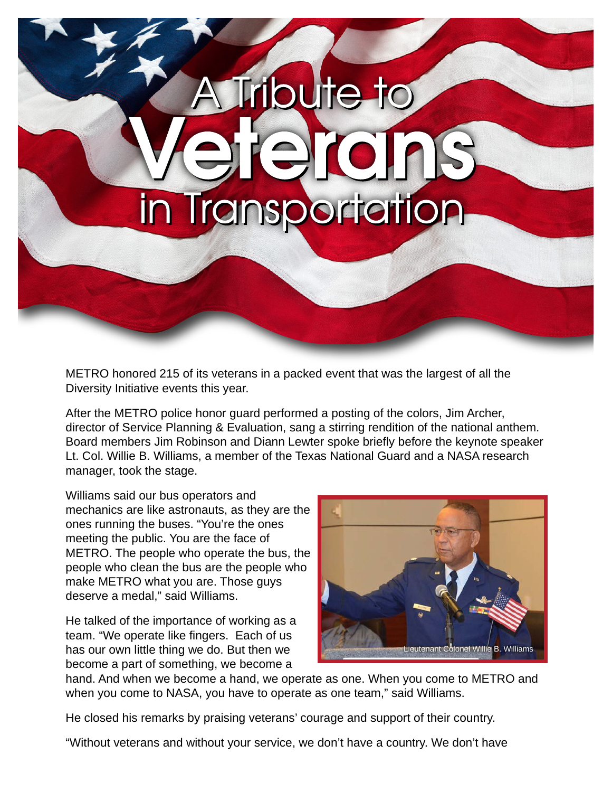

METRO honored 215 of its veterans in a packed event that was the largest of all the Diversity Initiative events this year.

After the METRO police honor guard performed a posting of the colors, Jim Archer, director of Service Planning & Evaluation, sang a stirring rendition of the national anthem. Board members Jim Robinson and Diann Lewter spoke briefly before the keynote speaker Lt. Col. Willie B. Williams, a member of the Texas National Guard and a NASA research manager, took the stage.

Williams said our bus operators and mechanics are like astronauts, as they are the ones running the buses. "You're the ones meeting the public. You are the face of METRO. The people who operate the bus, the people who clean the bus are the people who make METRO what you are. Those guys deserve a medal," said Williams.

He talked of the importance of working as a team. "We operate like fingers. Each of us has our own little thing we do. But then we become a part of something, we become a



hand. And when we become a hand, we operate as one. When you come to METRO and when you come to NASA, you have to operate as one team," said Williams.

He closed his remarks by praising veterans' courage and support of their country.

"Without veterans and without your service, we don't have a country. We don't have